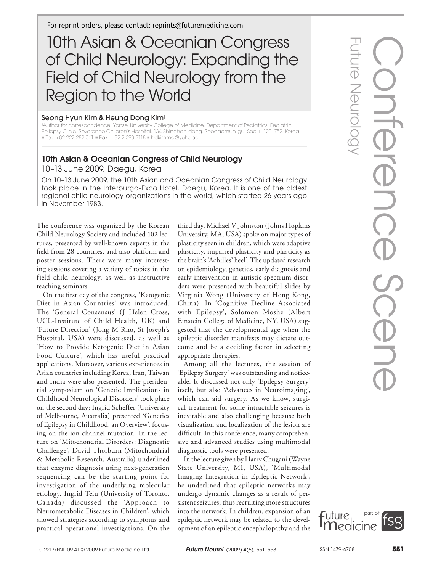*For reprint orders, please contact: reprints@futuremedicine.com*

# 10th Asian & Oceanian Congress of Child Neurology: Expanding the Field of Child Neurology from the Region to the World

## Seong Hyun Kim & Heung Dong Kim†

† Author for correspondence: Yonsei University College of Medicine, Department of Pediatrics, Pediatric Epilepsy Clinic, Severance Children's Hospital, 134 Shinchon-dong, Seodaemun-gu, Seoul, 120–752, Korea  $\blacksquare$  Tel.: +82 222 282 061  $\blacksquare$  Fax: + 82 2 393 9118  $\blacksquare$  hdkimmd@yuhs.ac

## 10th Asian & Oceanian Congress of Child Neurology

10–13 June 2009, Daegu, Korea

On 10–13 June 2009, the 10th Asian and Oceanian Congress of Child Neurology took place in the Interburgo-Exco Hotel, Daegu, Korea. It is one of the oldest regional child neurology organizations in the world, which started 26 years ago in November 1983.

The conference was organized by the Korean Child Neurology Society and included 102 lectures, presented by well-known experts in the field from 28 countries, and also platform and poster sessions. There were many interesting sessions covering a variety of topics in the field child neurology, as well as instructive teaching seminars.

On the first day of the congress, 'Ketogenic Diet in Asian Countries' was introduced. The 'General Consensus' (J Helen Cross, UCL-Institute of Child Health, UK) and 'Future Direction' (Jong M Rho, St Joseph's Hospital, USA) were discussed, as well as 'How to Provide Ketogenic Diet in Asian Food Culture', which has useful practical applications. Moreover, various experiences in Asian countries including Korea, Iran, Taiwan and India were also presented. The presidential symposium on 'Genetic Implications in Childhood Neurological Disorders' took place on the second day; Ingrid Scheffer (University of Melbourne, Australia) presented 'Genetics of Epilepsy in Childhood: an Overview', focusing on the ion channel mutation. In the lecture on 'Mitochondrial Disorders: Diagnostic Challenge', David Thorburn (Mitochondrial & Metabolic Research, Australia) underlined that enzyme diagnosis using next-generation sequencing can be the starting point for investigation of the underlying molecular etiology. Ingrid Tein (University of Toronto, Canada) discussed the 'Approach to Neurometabolic Diseases in Children', which showed strategies according to symptoms and practical operational investigations. On the

third day, Michael V Johnston (Johns Hopkins University, MA, USA) spoke on major types of plasticity seen in children, which were adaptive plasticity, impaired plasticity and plasticity as the brain's 'Achilles' heel'. The updated research on epidemiology, genetics, early diagnosis and early intervention in autistic spectrum disorders were presented with beautiful slides by Virginia Wong (University of Hong Kong, China). In 'Cognitive Decline Associated with Epilepsy', Solomon Moshe (Albert Einstein College of Medicine, NY, USA) suggested that the developmental age when the epileptic disorder manifests may dictate outcome and be a deciding factor in selecting appropriate therapies.

Among all the lectures, the session of 'Epilepsy Surgery' was outstanding and noticeable. It discussed not only 'Epilepsy Surgery' itself, but also 'Advances in Neuroimaging', which can aid surgery. As we know, surgical treatment for some intractable seizures is inevitable and also challenging because both visualization and localization of the lesion are difficult. In this conference, many comprehensive and advanced studies using multimodal diagnostic tools were presented.

In the lecture given by Harry Chugani (Wayne State University, MI, USA), 'Multimodal Imaging Integration in Epileptic Network', he underlined that epileptic networks may undergo dynamic changes as a result of persistent seizures, thus recruiting more structures into the network. In children, expansion of an epileptic network may be related to the development of an epileptic encephalopathy and the Future Neurology

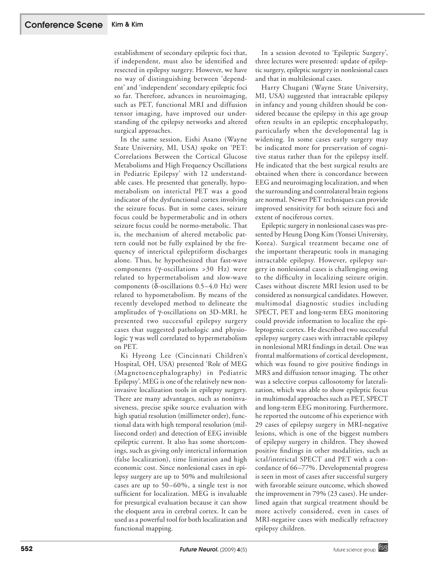establishment of secondary epileptic foci that, if independent, must also be identified and resected in epilepsy surgery. However, we have no way of distinguishing between 'dependent' and 'independent' secondary epileptic foci so far. Therefore, advances in neuroimaging, such as PET, functional MRI and diffusion tensor imaging, have improved our understanding of the epilepsy networks and altered surgical approaches.

In the same session, Eishi Asano (Wayne State University, MI, USA) spoke on 'PET: Correlations Between the Cortical Glucose Metabolisms and High Frequency Oscillations in Pediatric Epilepsy' with 12 understandable cases. He presented that generally, hypometabolism on interictal PET was a good indicator of the dysfunctional cortex involving the seizure focus. But in some cases, seizure focus could be hypermetabolic and in others seizure focus could be normo-metabolic. That is, the mechanism of altered metabolic pattern could not be fully explained by the frequency of interictal epileptiform discharges alone. Thus, he hypothesized that fast-wave components (g-oscillations >30 Hz) were related to hypermetabolism and slow-wave components ( $\delta$ -oscillations 0.5–4.0 Hz) were related to hypometabolism. By means of the recently developed method to delineate the amplitudes of  $\gamma$ -oscillations on 3D-MRI, he presented two successful epilepsy surgery cases that suggested pathologic and physiologic  $\gamma$  was well correlated to hypermetabolism on PET.

Ki Hyeong Lee (Cincinnati Children's Hospital, OH, USA) presented 'Role of MEG (Magnetoencephalography) in Pediatric Epilepsy'. MEG is one of the relatively new noninvasive localization tools in epilepsy surgery. There are many advantages, such as noninvasiveness, precise spike source evaluation with high spatial resolution (millimeter order), functional data with high temporal resolution (millisecond order) and detection of EEG invisible epileptic current. It also has some shortcomings, such as giving only interictal information (false localization), time limitation and high economic cost. Since nonlesional cases in epilepsy surgery are up to 50% and multilesional cases are up to 50–60%, a single test is not sufficient for localization. MEG is invaluable for presurgical evaluation because it can show the eloquent area in cerebral cortex. It can be used as a powerful tool for both localization and functional mapping.

In a session devoted to 'Epileptic Surgery', three lectures were presented: update of epileptic surgery, epileptic surgery in nonlesional cases and that in multilesional cases.

Harry Chugani (Wayne State University, MI, USA) suggested that intractable epilepsy in infancy and young children should be considered because the epilepsy in this age group often results in an epileptic encephalopathy, particularly when the developmental lag is widening. In some cases early surgery may be indicated more for preservation of cognitive status rather than for the epilepsy itself. He indicated that the best surgical results are obtained when there is concordance between EEG and neuroimaging localization, and when the surrounding and controlateral brain regions are normal. Newer PET techniques can provide improved sensitivity for both seizure foci and extent of nociferous cortex.

Epileptic surgery in nonlesional cases was presented by Heung Dong Kim (Yonsei University, Korea). Surgical treatment became one of the important therapeutic tools in managing intractable epilepsy. However, epilepsy surgery in nonlesional cases is challenging owing to the difficulty in localizing seizure origin. Cases without discrete MRI lesion used to be considered as nonsurgical candidates. However, multimodal diagnostic studies including SPECT, PET and long-term EEG monitoring could provide information to localize the epileptogenic cortex. He described two successful epilepsy surgery cases with intractable epilepsy in nonlesional MRI findings in detail. One was frontal malformations of cortical development, which was found to give positive findings in MRS and diffusion tensor imaging. The other was a selective corpus callosotomy for lateralization, which was able to show epileptic focus in multimodal approaches such as PET, SPECT and long-term EEG monitoring. Furthermore, he reported the outcome of his experience with 29 cases of epilepsy surgery in MRI-negative lesions, which is one of the biggest numbers of epilepsy surgery in children. They showed positive findings in other modalities, such as ictal/interictal SPECT and PET with a concordance of 66–77%. Developmental progress is seen in most of cases after successful surgery with favorable seizure outcome, which showed the improvement in 79% (23 cases). He underlined again that surgical treatment should be more actively considered, even in cases of MRI-negative cases with medically refractory epilepsy children.